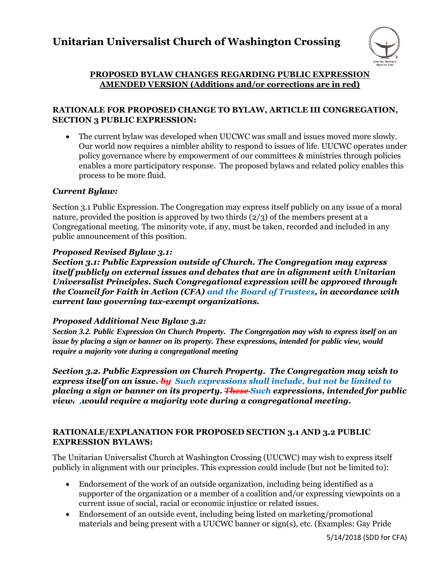## **Unitarian Universalist Church of Washington Crossing**



#### **PROPOSED BYLAW CHANGES REGARDING PUBLIC EXPRESSION AMENDED VERSION (Additions and/or corrections are in red)**

#### **RATIONALE FOR PROPOSED CHANGE TO BYLAW, ARTICLE III CONGREGATION, SECTION 3 PUBLIC EXPRESSION:**

 The current bylaw was developed when UUCWC was small and issues moved more slowly. Our world now requires a nimbler ability to respond to issues of life. UUCWC operates under policy governance where by empowerment of our committees & ministries through policies enables a more participatory response. The proposed bylaws and related policy enables this process to be more fluid.

#### *Current Bylaw:*

Section 3.1 Public Expression. The Congregation may express itself publicly on any issue of a moral nature, provided the position is approved by two thirds (2/3) of the members present at a Congregational meeting. The minority vote, if any, must be taken, recorded and included in any public announcement of this position.

#### *Proposed Revised Bylaw 3.1:*

*Section 3.1: Public Expression outside of Church. The Congregation may express itself publicly on external issues and debates that are in alignment with Unitarian Universalist Principles. Such Congregational expression will be approved through the Council for Faith in Action (CFA) and the Board of Trustees, in accordance with current law governing tax-exempt organizations.*

#### *Proposed Additional New Bylaw 3.2:*

*Section 3.2. Public Expression On Church Property. The Congregation may wish to express itself on an issue by placing a sign or banner on its property. These expressions, intended for public view, would require a majority vote during a congregational meeting*

*Section 3.2. Public Expression on Church Property. The Congregation may wish to express itself on an issue. by Such expressions shall include, but not be limited to placing a sign or banner on its property. These Such expressions, intended for public view. ,would require a majority vote during a congregational meeting.* 

#### **RATIONALE/EXPLANATION FOR PROPOSED SECTION 3.1 AND 3.2 PUBLIC EXPRESSION BYLAWS:**

The Unitarian Universalist Church at Washington Crossing (UUCWC) may wish to express itself publicly in alignment with our principles. This expression could include (but not be limited to):

- Endorsement of the work of an outside organization, including being identified as a supporter of the organization or a member of a coalition and/or expressing viewpoints on a current issue of social, racial or economic injustice or related issues.
- Endorsement of an outside event, including being listed on marketing/promotional materials and being present with a UUCWC banner or sign(s), etc. (Examples: Gay Pride